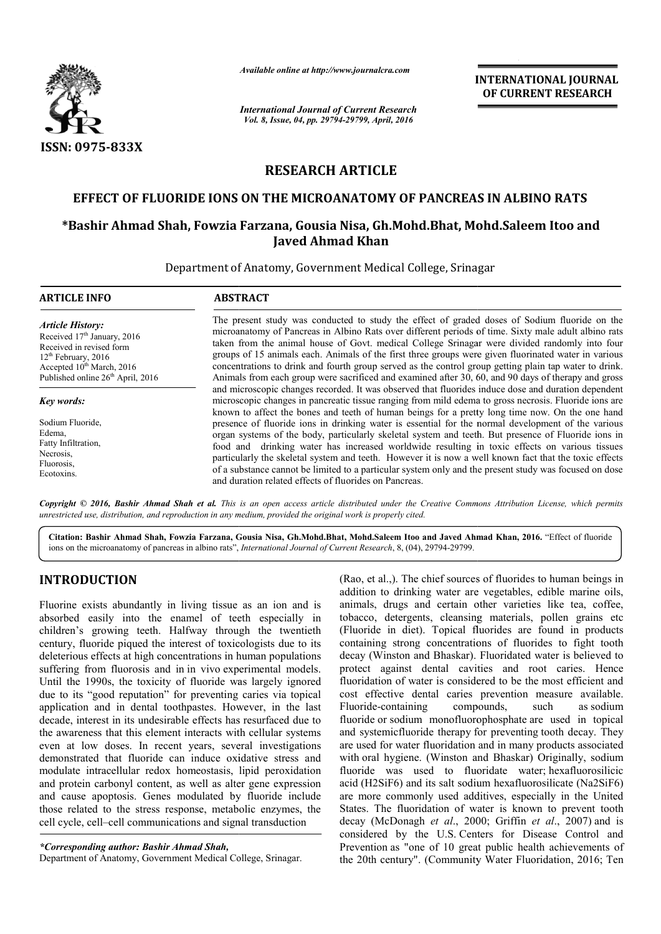

*Available online at http://www.journalcra.com*

*International Journal of Current Research Vol. 8, Issue, 04, pp. 29794-29799, April, 2016*

**INTERNATIONAL JOURNAL OF CURRENT RESEARCH** 

# **RESEARCH ARTICLE**

### **EFFECT OF FLUORIDE IONS ON THE MICROANATOMY OF PANCREAS IN ALBINO RATS**

## **\*Bashir Ahmad Shah, Fowzia Farzana Farzana, Gousia Nisa, Gh.Mohd.Bhat, Mohd.Saleem Itoo and Javed Ahmad Khan**

Department of Anatomy, Government Medical College, Srinagar

| <b>ARTICLE INFO</b>                                                                                                                                                                                               | <b>ABSTRACT</b>                                                                                                                                                                                                                                                                                                                                                                                                                                                                                                                                                                                                                                                                                                                                                                                                                                                                                             |  |  |
|-------------------------------------------------------------------------------------------------------------------------------------------------------------------------------------------------------------------|-------------------------------------------------------------------------------------------------------------------------------------------------------------------------------------------------------------------------------------------------------------------------------------------------------------------------------------------------------------------------------------------------------------------------------------------------------------------------------------------------------------------------------------------------------------------------------------------------------------------------------------------------------------------------------------------------------------------------------------------------------------------------------------------------------------------------------------------------------------------------------------------------------------|--|--|
| <b>Article History:</b><br>Received 17 <sup>th</sup> January, 2016<br>Received in revised form<br>$12th$ February, 2016<br>Accepted 10 <sup>th</sup> March, 2016<br>Published online 26 <sup>th</sup> April, 2016 | The present study was conducted to study the effect of graded doses of Sodium fluoride on the<br>microanatomy of Pancreas in Albino Rats over different periods of time. Sixty male adult albino rats<br>taken from the animal house of Govt. medical College Srinagar were divided randomly into four<br>groups of 15 animals each. Animals of the first three groups were given fluorinated water in various<br>concentrations to drink and fourth group served as the control group getting plain tap water to drink.<br>Animals from each group were sacrificed and examined after 30, 60, and 90 days of therapy and gross                                                                                                                                                                                                                                                                             |  |  |
| Key words:<br>Sodium Fluoride,<br>Edema,<br>Fatty Infiltration,<br>Necrosis,<br>Fluorosis.<br>Ecotoxins.                                                                                                          | and microscopic changes recorded. It was observed that fluorides induce dose and duration dependent<br>microscopic changes in pancreatic tissue ranging from mild edema to gross necrosis. Fluoride ions are<br>known to affect the bones and teeth of human beings for a pretty long time now. On the one hand<br>presence of fluoride ions in drinking water is essential for the normal development of the various<br>organ systems of the body, particularly skeletal system and teeth. But presence of Fluoride ions in<br>food and drinking water has increased worldwide resulting in toxic effects on various tissues<br>particularly the skeletal system and teeth. However it is now a well known fact that the toxic effects<br>of a substance cannot be limited to a particular system only and the present study was focused on dose<br>and duration related effects of fluorides on Pancreas. |  |  |

*Copyright © 2016, Bashir Ahmad Shah et al. This is an open access article distributed under the Creative Commons Att the Creative Attribution License, which permits unrestricted use, distribution, and reproduction in any medium, provided the original work is properly cited.*

Citation: Bashir Ahmad Shah, Fowzia Farzana, Gousia Nisa, Gh.Mohd.Bhat, Mohd.Saleem Itoo and Javed Ahmad Khan, 2016. "Effect of fluoride ions on the microanatomy of pancreas in albino rats", *International Journal of Current Research*, 8, (04), 29794-29799.

# **INTRODUCTION**

Fluorine exists abundantly in living tissue as an ion and is absorbed easily into the enamel of teeth especially in children's growing teeth. Halfway through the twentieth century, fluoride piqued the interest of toxicologists due to its deleterious effects at high concentrations in human populations suffering from fluorosis and in in vivo experimental models. Until the 1990s, the toxicity of fluoride was largely ignored due to its "good reputation" for preventing caries via topical deleterious effects at high concentrations in human populations suffering from fluorosis and in in vivo experimental models. Until the 1990s, the toxicity of fluoride was largely ignored due to its "good reputation" for pr decade, interest in its undesirable effects has resurfaced due to the awareness that this element interacts with cellular systems even at low doses. In recent years, several investigations demonstrated that fluoride can induce oxidative stress and modulate intracellular redox homeostasis, lipid peroxidation and protein carbonyl content, as well as alter gene expression and cause apoptosis. Genes modulated by fluoride include those related to the stress response, metabolic enzymes, the cell cycle, cell–cell communications and signal transduction

Department of Anatomy, Government Medical College, Srinagar.

**FION** (Rao, et al..). The chief sources of fluorides to human beings in<br>abundantly in living ussue as an ion and is animals, drugs and certain other varieties like tea, coffee,<br>by into the enamel of tech especially in to addition to drinking water are vegetables, edible marine oils, animals, drugs and certain other varieties like tea, coffee, tobacco, detergents, cleansing materials, pollen grains etc (Fluoride in diet). Topical fluorides are found in products containing strong concentrations of fluorides to fight tooth decay (Winston and Bhaskar). Fluoridated water is believed to protect against dental cavities and root caries. Hence fluoridation of water is considered to be the most efficient and cost effective dental caries prevention measure available. Fluoride-containing compounds, such as sodium fluoride or sodium monofluorophosphate are used in topical and systemicfluoride therapy for preventing tooth decay. They are used for water fluoridation and in many products associated with oral hygiene. (Winston and Bhaskar) Originally, sodium with oral hygiene. (Winston and Bhaskar) Originally, sodium<br>fluoride was used to fluoridate water; hexafluorosilicic acid  $(H2SiF6)$  and its salt sodium hexafluorosilicate  $(Na2SiF6)$ are more commonly used additives, especially in the United are more commonly used additives, especially in the United States. The fluoridation of water is known to prevent tooth decay (McDonagh *et al*., 2000; Griffin *et al*., 2007) and is considered by the U.S. Centers for Disease Control and Prevention as "one of 10 great public health achievements of the 20th century". (Community Water Fluoridation, 2016; Ten (Rao, et al.,). The chief sources of fluorides to human beings in addition to drinking water are vegetables, edible marine oils, animals, drugs and certain other varieties like tea, coffee, tobacco, detergents, cleansing m compounds, **INTERNATIONAL JOURNAL FORM CONTROL CONTROL CONTROL CONTROL CONTROL CONTROL CONTROL CONTROL CONTROL CONTROL (TECLE TOWY OF PANCREAS IN ALBINO RATS (THE TOWY OF PANCREAS IN ALBINO RATS (THE TOWY OF PANCREAS IN ALBINO RATS** 

*<sup>\*</sup>Corresponding author: Bashir Ahmad Shah,*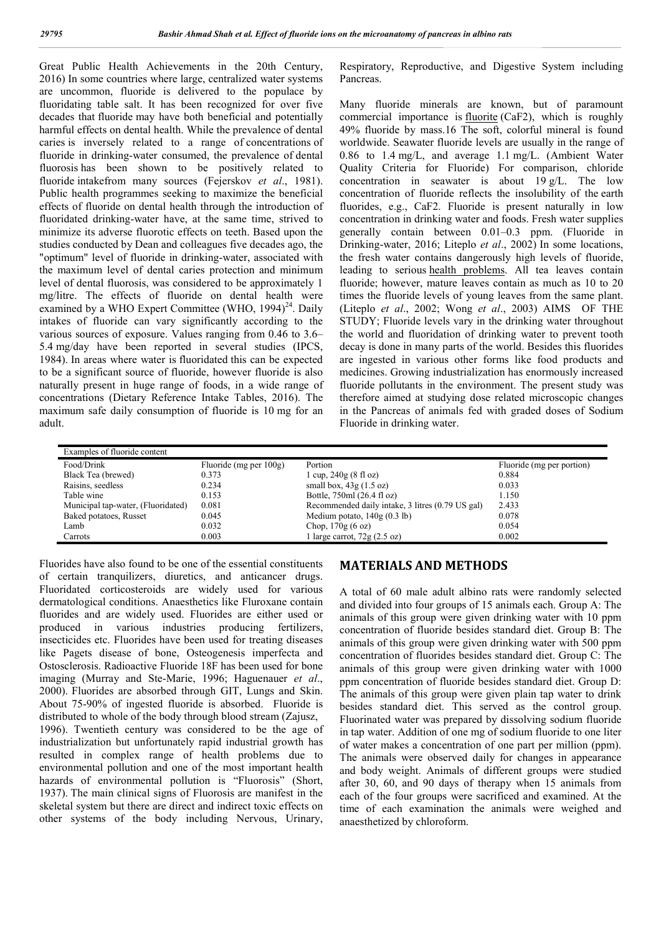Great Public Health Achievements in the 20th Century, 2016) In some countries where large, centralized water systems are uncommon, fluoride is delivered to the populace by fluoridating table salt. It has been recognized for over five decades that fluoride may have both beneficial and potentially harmful effects on dental health. While the prevalence of dental caries is inversely related to a range of concentrations of fluoride in drinking-water consumed, the prevalence of dental fluorosis has been shown to be positively related to fluoride intakefrom many sources (Fejerskov *et al*., 1981). Public health programmes seeking to maximize the beneficial effects of fluoride on dental health through the introduction of fluoridated drinking-water have, at the same time, strived to minimize its adverse fluorotic effects on teeth. Based upon the studies conducted by Dean and colleagues five decades ago, the "optimum" level of fluoride in drinking-water, associated with the maximum level of dental caries protection and minimum level of dental fluorosis, was considered to be approximately 1 mg/litre. The effects of fluoride on dental health were examined by a WHO Expert Committee (WHO,  $1994$ <sup>24</sup>. Daily intakes of fluoride can vary significantly according to the various sources of exposure. Values ranging from 0.46 to 3.6– 5.4 mg/day have been reported in several studies (IPCS, 1984). In areas where water is fluoridated this can be expected to be a significant source of fluoride, however fluoride is also naturally present in huge range of foods, in a wide range of concentrations (Dietary Reference Intake Tables, 2016). The maximum safe daily consumption of fluoride is 10 mg for an adult.

Respiratory, Reproductive, and Digestive System including Pancreas.

Many fluoride minerals are known, but of paramount commercial importance is fluorite (CaF2), which is roughly 49% fluoride by mass.16 The soft, colorful mineral is found worldwide. Seawater fluoride levels are usually in the range of 0.86 to 1.4 mg/L, and average 1.1 mg/L. (Ambient Water Quality Criteria for Fluoride) For comparison, chloride concentration in seawater is about 19 g/L. The low concentration of fluoride reflects the insolubility of the earth fluorides, e.g., CaF2. Fluoride is present naturally in low concentration in drinking water and foods. Fresh water supplies generally contain between 0.01–0.3 ppm. (Fluoride in Drinking-water, 2016; Liteplo *et al*., 2002) In some locations, the fresh water contains dangerously high levels of fluoride, leading to serious health problems. All tea leaves contain fluoride; however, mature leaves contain as much as 10 to 20 times the fluoride levels of young leaves from the same plant. (Liteplo *et al*., 2002; Wong *et al*., 2003) AIMS OF THE STUDY; Fluoride levels vary in the drinking water throughout the world and fluoridation of drinking water to prevent tooth decay is done in many parts of the world. Besides this fluorides are ingested in various other forms like food products and medicines. Growing industrialization has enormously increased fluoride pollutants in the environment. The present study was therefore aimed at studying dose related microscopic changes in the Pancreas of animals fed with graded doses of Sodium Fluoride in drinking water.

| Examples of fluoride content       |                           |                                                  |                           |  |
|------------------------------------|---------------------------|--------------------------------------------------|---------------------------|--|
| Food/Drink                         | Fluoride (mg per $100g$ ) | Portion                                          | Fluoride (mg per portion) |  |
| Black Tea (brewed)                 | 0.373                     | $1 \text{ cup}, 240 \text{ g} (8 \text{ fl oz})$ | 0.884                     |  |
| Raisins, seedless                  | 0.234                     | small box, $43g(1.5 \text{ oz})$                 | 0.033                     |  |
| Table wine                         | 0.153                     | Bottle, 750ml (26.4 fl oz)                       | 1.150                     |  |
| Municipal tap-water, (Fluoridated) | 0.081                     | Recommended daily intake, 3 litres (0.79 US gal) | 2.433                     |  |
| Baked potatoes, Russet             | 0.045                     | Medium potato, $140g(0.3 lb)$                    | 0.078                     |  |
| Lamb                               | 0.032                     | Chop, $170g(6 \text{ oz})$                       | 0.054                     |  |
| Carrots                            | 0.003                     | l large carrot, $72g(2.5 \text{ oz})$            | 0.002                     |  |

Fluorides have also found to be one of the essential constituents of certain tranquilizers, diuretics, and anticancer drugs. Fluoridated corticosteroids are widely used for various dermatological conditions. Anaesthetics like Fluroxane contain fluorides and are widely used. Fluorides are either used or produced in various industries producing fertilizers, insecticides etc. Fluorides have been used for treating diseases like Pagets disease of bone, Osteogenesis imperfecta and Ostosclerosis. Radioactive Fluoride 18F has been used for bone imaging (Murray and Ste-Marie, 1996; Haguenauer *et al*., 2000). Fluorides are absorbed through GIT, Lungs and Skin. About 75-90% of ingested fluoride is absorbed. Fluoride is distributed to whole of the body through blood stream (Zajusz, 1996). Twentieth century was considered to be the age of industrialization but unfortunately rapid industrial growth has resulted in complex range of health problems due to environmental pollution and one of the most important health hazards of environmental pollution is "Fluorosis" (Short, 1937). The main clinical signs of Fluorosis are manifest in the skeletal system but there are direct and indirect toxic effects on other systems of the body including Nervous, Urinary,

### **MATERIALS AND METHODS**

A total of 60 male adult albino rats were randomly selected and divided into four groups of 15 animals each. Group A: The animals of this group were given drinking water with 10 ppm concentration of fluoride besides standard diet. Group B: The animals of this group were given drinking water with 500 ppm concentration of fluorides besides standard diet. Group C: The animals of this group were given drinking water with 1000 ppm concentration of fluoride besides standard diet. Group D: The animals of this group were given plain tap water to drink besides standard diet. This served as the control group. Fluorinated water was prepared by dissolving sodium fluoride in tap water. Addition of one mg of sodium fluoride to one liter of water makes a concentration of one part per million (ppm). The animals were observed daily for changes in appearance and body weight. Animals of different groups were studied after 30, 60, and 90 days of therapy when 15 animals from each of the four groups were sacrificed and examined. At the time of each examination the animals were weighed and anaesthetized by chloroform.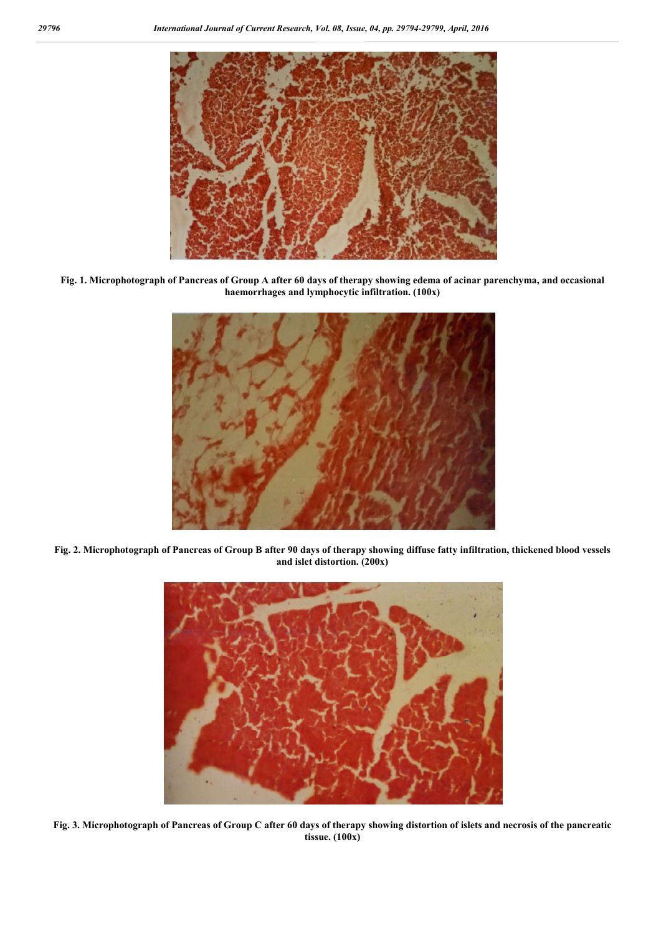

**Fig. 1. Microphotograph of Pancreas of Group A after 60 days of therapy showing edema of acinar parenchyma, and occasional haemorrhages and lymphocytic infiltration. (100x)**



**Fig. 2. Microphotograph of Pancreas of Group B after 90 days of therapy showing diffuse fatty infiltration, thickened blood vessels and islet distortion. (200x)**



**Fig. 3. Microphotograph of Pancreas of Group C after 60 days of therapy showing distortion of islets and necrosis of the pancreatic tissue. (100x)**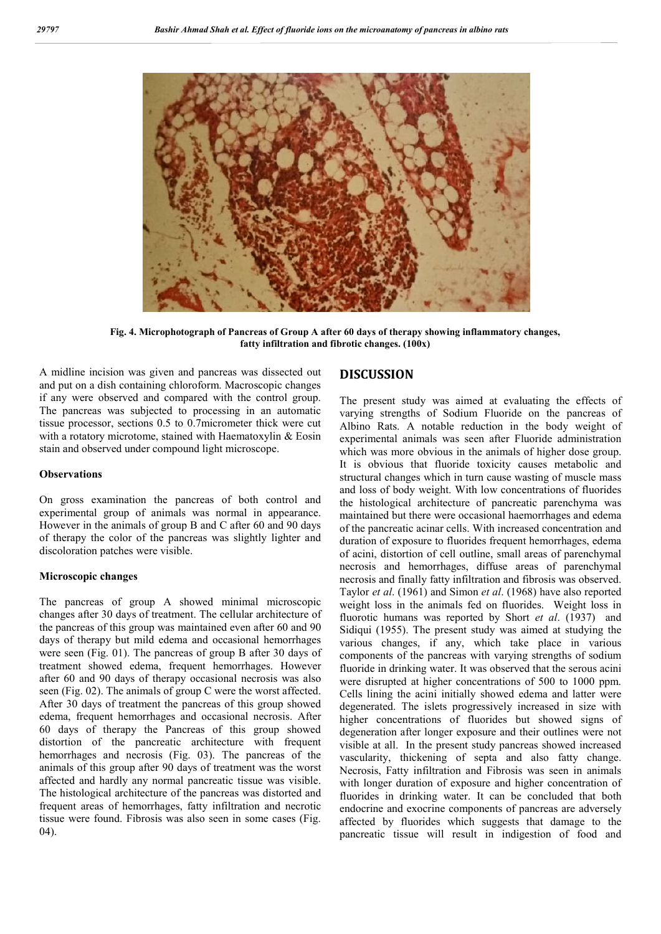

**Fig. 4. Microphotograph of Pancreas of Group A after 60 days of therapy showing inflammatory changes, fatty infiltration and fibrotic changes. (100x)**

A midline incision was given and pancreas was dissected out and put on a dish containing chloroform. Macroscopic changes if any were observed and compared with the control group. The pancreas was subjected to processing in an automatic tissue processor, sections 0.5 to 0.7micrometer thick were cut with a rotatory microtome, stained with Haematoxylin & Eosin stain and observed under compound light microscope.

#### **Observations**

On gross examination the pancreas of both control and experimental group of animals was normal in appearance. However in the animals of group B and C after 60 and 90 days of therapy the color of the pancreas was slightly lighter and discoloration patches were visible.

#### **Microscopic changes**

The pancreas of group A showed minimal microscopic changes after 30 days of treatment. The cellular architecture of the pancreas of this group was maintained even after 60 and 90 days of therapy but mild edema and occasional hemorrhages were seen (Fig. 01). The pancreas of group B after 30 days of treatment showed edema, frequent hemorrhages. However after 60 and 90 days of therapy occasional necrosis was also seen (Fig. 02). The animals of group C were the worst affected. After 30 days of treatment the pancreas of this group showed edema, frequent hemorrhages and occasional necrosis. After 60 days of therapy the Pancreas of this group showed distortion of the pancreatic architecture with frequent hemorrhages and necrosis (Fig. 03). The pancreas of the animals of this group after 90 days of treatment was the worst affected and hardly any normal pancreatic tissue was visible. The histological architecture of the pancreas was distorted and frequent areas of hemorrhages, fatty infiltration and necrotic tissue were found. Fibrosis was also seen in some cases (Fig. 04).

### **DISCUSSION**

The present study was aimed at evaluating the effects of varying strengths of Sodium Fluoride on the pancreas of Albino Rats. A notable reduction in the body weight of experimental animals was seen after Fluoride administration which was more obvious in the animals of higher dose group. It is obvious that fluoride toxicity causes metabolic and structural changes which in turn cause wasting of muscle mass and loss of body weight. With low concentrations of fluorides the histological architecture of pancreatic parenchyma was maintained but there were occasional haemorrhages and edema of the pancreatic acinar cells. With increased concentration and duration of exposure to fluorides frequent hemorrhages, edema of acini, distortion of cell outline, small areas of parenchymal necrosis and hemorrhages, diffuse areas of parenchymal necrosis and finally fatty infiltration and fibrosis was observed. Taylor *et al*. (1961) and Simon *et al*. (1968) have also reported weight loss in the animals fed on fluorides. Weight loss in fluorotic humans was reported by Short *et al*. (1937) and Sidiqui (1955). The present study was aimed at studying the various changes, if any, which take place in various components of the pancreas with varying strengths of sodium fluoride in drinking water. It was observed that the serous acini were disrupted at higher concentrations of 500 to 1000 ppm. Cells lining the acini initially showed edema and latter were degenerated. The islets progressively increased in size with higher concentrations of fluorides but showed signs of degeneration after longer exposure and their outlines were not visible at all. In the present study pancreas showed increased vascularity, thickening of septa and also fatty change. Necrosis, Fatty infiltration and Fibrosis was seen in animals with longer duration of exposure and higher concentration of fluorides in drinking water. It can be concluded that both endocrine and exocrine components of pancreas are adversely affected by fluorides which suggests that damage to the pancreatic tissue will result in indigestion of food and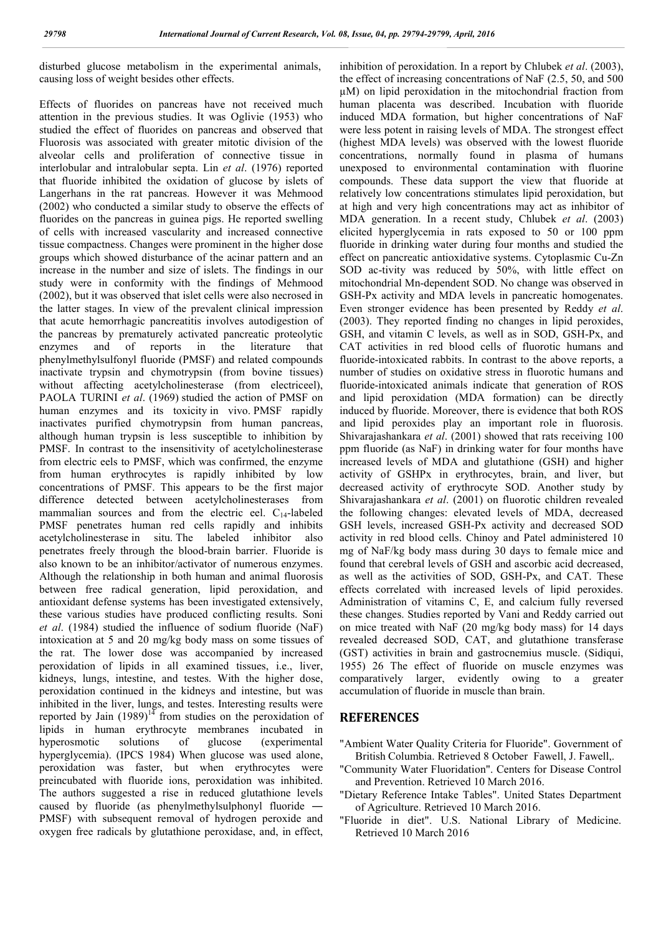disturbed glucose metabolism in the experimental animals, causing loss of weight besides other effects.

Effects of fluorides on pancreas have not received much attention in the previous studies. It was Oglivie (1953) who studied the effect of fluorides on pancreas and observed that Fluorosis was associated with greater mitotic division of the alveolar cells and proliferation of connective tissue in interlobular and intralobular septa. Lin *et al*. (1976) reported that fluoride inhibited the oxidation of glucose by islets of Langerhans in the rat pancreas. However it was Mehmood (2002) who conducted a similar study to observe the effects of fluorides on the pancreas in guinea pigs. He reported swelling of cells with increased vascularity and increased connective tissue compactness. Changes were prominent in the higher dose groups which showed disturbance of the acinar pattern and an increase in the number and size of islets. The findings in our study were in conformity with the findings of Mehmood (2002), but it was observed that islet cells were also necrosed in the latter stages. In view of the prevalent clinical impression that acute hemorrhagic pancreatitis involves autodigestion of the pancreas by prematurely activated pancreatic proteolytic enzymes and of reports in the literature that phenylmethylsulfonyl fluoride (PMSF) and related compounds inactivate trypsin and chymotrypsin (from bovine tissues) without affecting acetylcholinesterase (from electriceel), PAOLA TURINI *et al*. (1969) studied the action of PMSF on human enzymes and its toxicity in vivo. PMSF rapidly inactivates purified chymotrypsin from human pancreas, although human trypsin is less susceptible to inhibition by PMSF. In contrast to the insensitivity of acetylcholinesterase from electric eels to PMSF, which was confirmed, the enzyme from human erythrocytes is rapidly inhibited by low concentrations of PMSF. This appears to be the first major difference detected between acetylcholinesterases from mammalian sources and from the electric eel.  $C_{14}$ -labeled PMSF penetrates human red cells rapidly and inhibits acetylcholinesterase in situ. The labeled inhibitor also penetrates freely through the blood-brain barrier. Fluoride is also known to be an inhibitor/activator of numerous enzymes. Although the relationship in both human and animal fluorosis between free radical generation, lipid peroxidation, and antioxidant defense systems has been investigated extensively, these various studies have produced conflicting results. Soni *et al*. (1984) studied the influence of sodium fluoride (NaF) intoxication at 5 and 20 mg/kg body mass on some tissues of the rat. The lower dose was accompanied by increased peroxidation of lipids in all examined tissues, i.e., liver, kidneys, lungs, intestine, and testes. With the higher dose, peroxidation continued in the kidneys and intestine, but was inhibited in the liver, lungs, and testes. Interesting results were reported by Jain  $(1989)^{14}$  from studies on the peroxidation of lipids in human erythrocyte membranes incubated in hyperosmotic solutions of glucose (experimental hyperglycemia). (IPCS 1984) When glucose was used alone, peroxidation was faster, but when erythrocytes were preincubated with fluoride ions, peroxidation was inhibited. The authors suggested a rise in reduced glutathione levels caused by fluoride (as phenylmethylsulphonyl fluoride ― PMSF) with subsequent removal of hydrogen peroxide and oxygen free radicals by glutathione peroxidase, and, in effect,

inhibition of peroxidation. In a report by Chlubek *et al*. (2003), the effect of increasing concentrations of NaF (2.5, 50, and 500 µM) on lipid peroxidation in the mitochondrial fraction from human placenta was described. Incubation with fluoride induced MDA formation, but higher concentrations of NaF were less potent in raising levels of MDA. The strongest effect (highest MDA levels) was observed with the lowest fluoride concentrations, normally found in plasma of humans unexposed to environmental contamination with fluorine compounds. These data support the view that fluoride at relatively low concentrations stimulates lipid peroxidation, but at high and very high concentrations may act as inhibitor of MDA generation. In a recent study, Chlubek *et al*. (2003) elicited hyperglycemia in rats exposed to 50 or 100 ppm fluoride in drinking water during four months and studied the effect on pancreatic antioxidative systems. Cytoplasmic Cu-Zn SOD ac-tivity was reduced by 50%, with little effect on mitochondrial Mn-dependent SOD. No change was observed in GSH-Px activity and MDA levels in pancreatic homogenates. Even stronger evidence has been presented by Reddy *et al*. (2003). They reported finding no changes in lipid peroxides, GSH, and vitamin C levels, as well as in SOD, GSH-Px, and CAT activities in red blood cells of fluorotic humans and fluoride-intoxicated rabbits. In contrast to the above reports, a number of studies on oxidative stress in fluorotic humans and fluoride-intoxicated animals indicate that generation of ROS and lipid peroxidation (MDA formation) can be directly induced by fluoride. Moreover, there is evidence that both ROS and lipid peroxides play an important role in fluorosis. Shivarajashankara *et al*. (2001) showed that rats receiving 100 ppm fluoride (as NaF) in drinking water for four months have increased levels of MDA and glutathione (GSH) and higher activity of GSHPx in erythrocytes, brain, and liver, but decreased activity of erythrocyte SOD. Another study by Shivarajashankara *et al*. (2001) on fluorotic children revealed the following changes: elevated levels of MDA, decreased GSH levels, increased GSH-Px activity and decreased SOD activity in red blood cells. Chinoy and Patel administered 10 mg of NaF/kg body mass during 30 days to female mice and found that cerebral levels of GSH and ascorbic acid decreased, as well as the activities of SOD, GSH-Px, and CAT. These effects correlated with increased levels of lipid peroxides. Administration of vitamins C, E, and calcium fully reversed these changes. Studies reported by Vani and Reddy carried out on mice treated with NaF (20 mg/kg body mass) for 14 days revealed decreased SOD, CAT, and glutathione transferase (GST) activities in brain and gastrocnemius muscle. (Sidiqui, 1955) 26 The effect of fluoride on muscle enzymes was comparatively larger, evidently owing to a greater accumulation of fluoride in muscle than brain.

#### **REFERENCES**

- "Ambient Water Quality Criteria for Fluoride". Government of British Columbia. Retrieved 8 October Fawell, J. Fawell,.
- "Community Water Fluoridation". Centers for Disease Control and Prevention. Retrieved 10 March 2016.
- "Dietary Reference Intake Tables". United States Department of Agriculture. Retrieved 10 March 2016.
- "Fluoride in diet". U.S. National Library of Medicine. Retrieved 10 March 2016